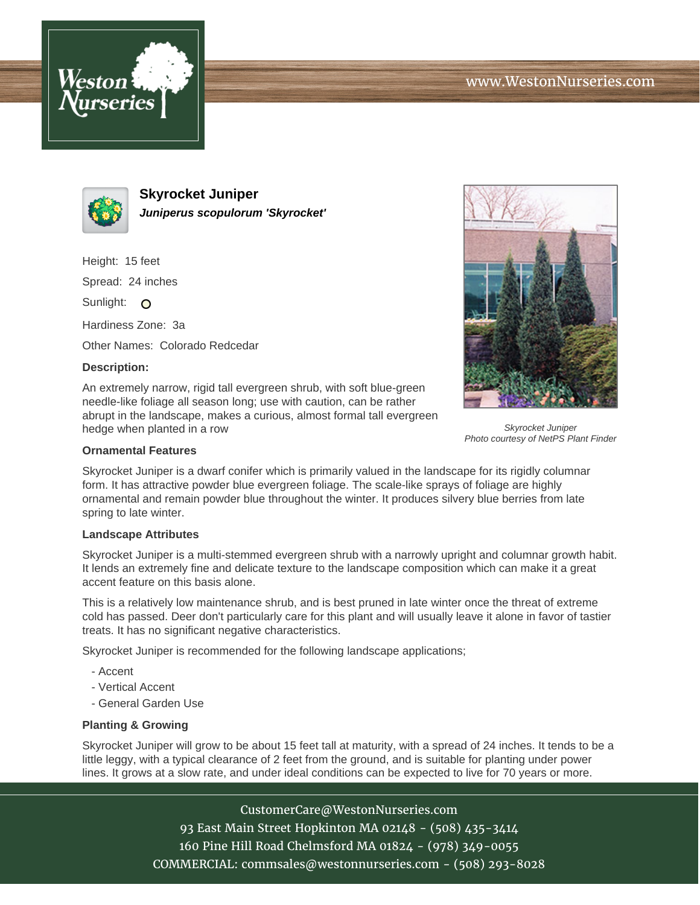



**Skyrocket Juniper Juniperus scopulorum 'Skyrocket'**

Height: 15 feet

Spread: 24 inches

Sunlight: O

Hardiness Zone: 3a

Other Names: Colorado Redcedar

## **Description:**

An extremely narrow, rigid tall evergreen shrub, with soft blue-green needle-like foliage all season long; use with caution, can be rather abrupt in the landscape, makes a curious, almost formal tall evergreen hedge when planted in a row



Skyrocket Juniper Photo courtesy of NetPS Plant Finder

## **Ornamental Features**

Skyrocket Juniper is a dwarf conifer which is primarily valued in the landscape for its rigidly columnar form. It has attractive powder blue evergreen foliage. The scale-like sprays of foliage are highly ornamental and remain powder blue throughout the winter. It produces silvery blue berries from late spring to late winter.

## **Landscape Attributes**

Skyrocket Juniper is a multi-stemmed evergreen shrub with a narrowly upright and columnar growth habit. It lends an extremely fine and delicate texture to the landscape composition which can make it a great accent feature on this basis alone.

This is a relatively low maintenance shrub, and is best pruned in late winter once the threat of extreme cold has passed. Deer don't particularly care for this plant and will usually leave it alone in favor of tastier treats. It has no significant negative characteristics.

Skyrocket Juniper is recommended for the following landscape applications;

- Accent
- Vertical Accent
- General Garden Use

## **Planting & Growing**

Skyrocket Juniper will grow to be about 15 feet tall at maturity, with a spread of 24 inches. It tends to be a little leggy, with a typical clearance of 2 feet from the ground, and is suitable for planting under power lines. It grows at a slow rate, and under ideal conditions can be expected to live for 70 years or more.

> CustomerCare@WestonNurseries.com 93 East Main Street Hopkinton MA 02148 - (508) 435-3414 160 Pine Hill Road Chelmsford MA 01824 - (978) 349-0055 COMMERCIAL: commsales@westonnurseries.com - (508) 293-8028